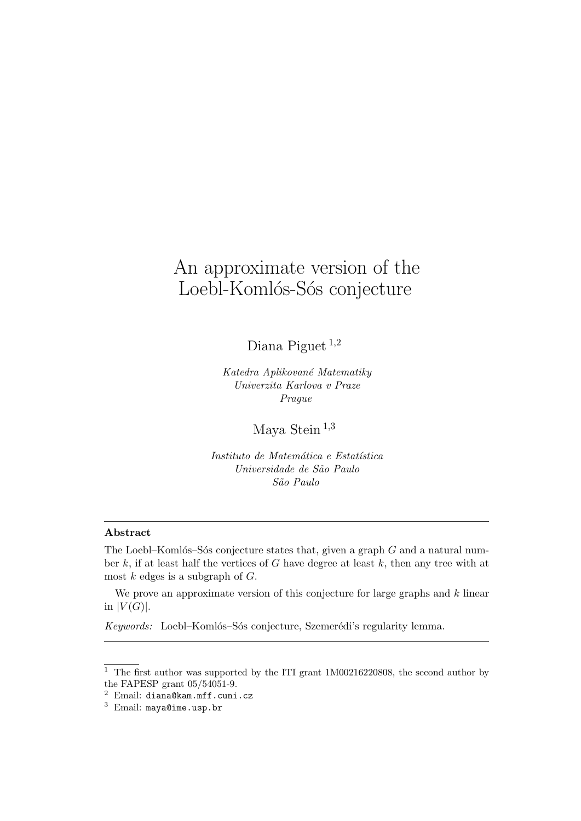# An approximate version of the Loebl-Komlós-Sós conjecture

Diana Piguet <sup>1</sup>,<sup>2</sup>

Katedra Aplikované Matematiky Univerzita Karlova v Praze Prague

Maya Stein <sup>1</sup>,<sup>3</sup>

Instituto de Matemática e Estatística Universidade de São Paulo S˜ao Paulo

### Abstract

The Loebl–Komlós–Sós conjecture states that, given a graph  $G$  and a natural number  $k$ , if at least half the vertices of  $G$  have degree at least  $k$ , then any tree with at most  $k$  edges is a subgraph of  $G$ .

We prove an approximate version of this conjecture for large graphs and  $k$  linear in  $|V(G)|$ .

Keywords: Loebl-Komlós-Sós conjecture, Szemerédi's regularity lemma.

 $\frac{1}{1}$  The first author was supported by the ITI grant 1M00216220808, the second author by the FAPESP grant 05/54051-9.

<sup>2</sup> Email: diana@kam.mff.cuni.cz

<sup>3</sup> Email: maya@ime.usp.br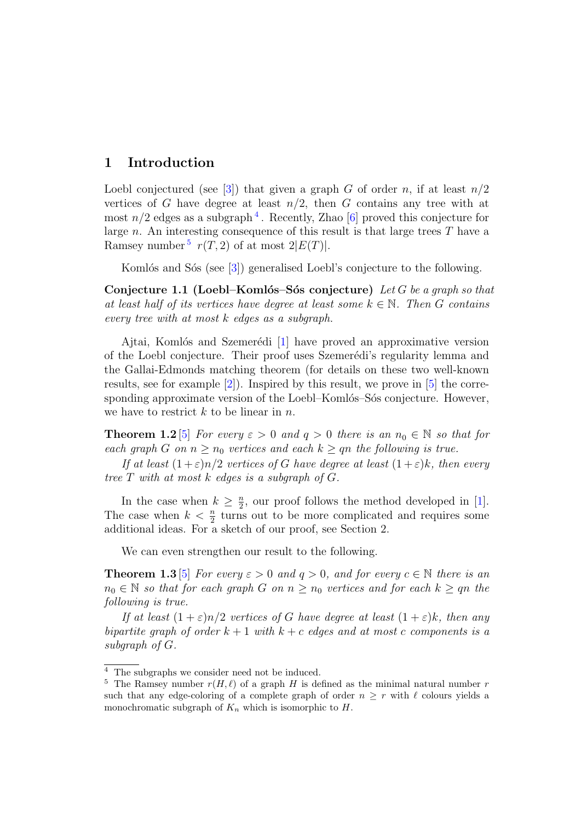# 1 Introduction

Loebl conjectured (see [3]) that given a graph G of order n, if at least  $n/2$ vertices of G have degree at least  $n/2$ , then G contains any tree with at most  $n/2$  edges as a subgraph<sup>4</sup>. Recently, Zhao [6] proved this conjecture for large n. An interesting consequence of this result is that large trees  $T$  have a Ramsey number<sup>5</sup>  $r(T, 2)$  of at most  $2|E(T)|$ .

Komlós and Sós (see [3]) generalised Loebl's conjecture to the following.

Conjecture 1.1 (Loebl–Komlós–Sós conjecture) Let G be a graph so that at least half of its vertices have degree at least some  $k \in \mathbb{N}$ . Then G contains every tree with at most k edges as a subgraph.

Ajtai, Komlós and Szemerédi  $\begin{bmatrix} 1 \end{bmatrix}$  have proved an approximative version of the Loebl conjecture. Their proof uses Szemerédi's regularity lemma and the Gallai-Edmonds matching theorem (for details on these two well-known results, see for example  $[2]$ ). Inspired by this result, we prove in  $[5]$  the corresponding approximate version of the Loebl–Komlós–Sós conjecture. However, we have to restrict  $k$  to be linear in  $n$ .

**Theorem 1.2** [5] For every  $\varepsilon > 0$  and  $q > 0$  there is an  $n_0 \in \mathbb{N}$  so that for each graph G on  $n \geq n_0$  vertices and each  $k \geq q_n$  the following is true.

If at least  $(1+\varepsilon)n/2$  vertices of G have degree at least  $(1+\varepsilon)k$ , then every tree  $T$  with at most  $k$  edges is a subgraph of  $G$ .

In the case when  $k \geq \frac{n}{2}$  $\frac{n}{2}$ , our proof follows the method developed in [1]. The case when  $k < \frac{n}{2}$  turns out to be more complicated and requires some additional ideas. For a sketch of our proof, see Section 2.

We can even strengthen our result to the following.

**Theorem 1.3** [5] For every  $\varepsilon > 0$  and  $q > 0$ , and for every  $c \in \mathbb{N}$  there is an  $n_0 \in \mathbb{N}$  so that for each graph G on  $n \geq n_0$  vertices and for each  $k \geq qn$  the following is true.

If at least  $(1+\varepsilon)n/2$  vertices of G have degree at least  $(1+\varepsilon)k$ , then any bipartite graph of order  $k+1$  with  $k+c$  edges and at most c components is a subgraph of G.

<sup>4</sup> The subgraphs we consider need not be induced.

<sup>&</sup>lt;sup>5</sup> The Ramsey number  $r(H, \ell)$  of a graph H is defined as the minimal natural number r such that any edge-coloring of a complete graph of order  $n \geq r$  with  $\ell$  colours yields a monochromatic subgraph of  $K_n$  which is isomorphic to  $H$ .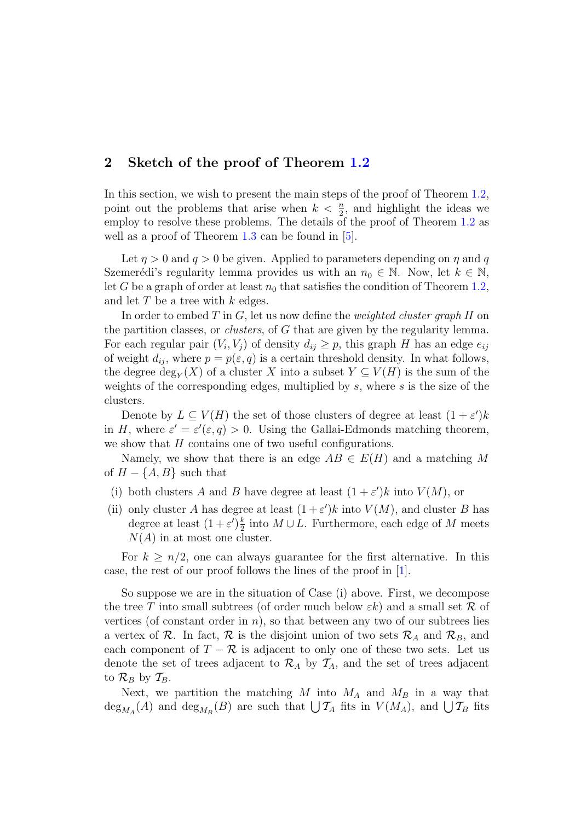# 2 Sketch of the proof of Theorem 1.2

In this section, we wish to present the main steps of the proof of Theorem 1.2, point out the problems that arise when  $k < \frac{n}{2}$ , and highlight the ideas we employ to resolve these problems. The details of the proof of Theorem 1.2 as well as a proof of Theorem  $1.3$  can be found in  $[5]$ .

Let  $\eta > 0$  and  $q > 0$  be given. Applied to parameters depending on  $\eta$  and q Szemerédi's regularity lemma provides us with an  $n_0 \in \mathbb{N}$ . Now, let  $k \in \mathbb{N}$ , let G be a graph of order at least  $n_0$  that satisfies the condition of Theorem 1.2, and let  $T$  be a tree with  $k$  edges.

In order to embed T in  $G$ , let us now define the *weighted cluster graph* H on the partition classes, or *clusters*, of G that are given by the regularity lemma. For each regular pair  $(V_i, V_j)$  of density  $d_{ij} \geq p$ , this graph H has an edge  $e_{ij}$ of weight  $d_{ij}$ , where  $p = p(\varepsilon, q)$  is a certain threshold density. In what follows, the degree  $\deg_Y(X)$  of a cluster X into a subset  $Y \subseteq V(H)$  is the sum of the weights of the corresponding edges, multiplied by  $s$ , where  $s$  is the size of the clusters.

Denote by  $L \subseteq V(H)$  the set of those clusters of degree at least  $(1 + \varepsilon')k$ in H, where  $\varepsilon' = \varepsilon'(\varepsilon, q) > 0$ . Using the Gallai-Edmonds matching theorem, we show that  $H$  contains one of two useful configurations.

Namely, we show that there is an edge  $AB \in E(H)$  and a matching M of  $H - \{A, B\}$  such that

- (i) both clusters A and B have degree at least  $(1 + \varepsilon')k$  into  $V(M)$ , or
- (ii) only cluster A has degree at least  $(1+\varepsilon')k$  into  $V(M)$ , and cluster B has degree at least  $(1+\varepsilon')\frac{k}{2}$  $\frac{k}{2}$  into  $M \cup L$ . Furthermore, each edge of M meets  $N(A)$  in at most one cluster.

For  $k \geq n/2$ , one can always guarantee for the first alternative. In this case, the rest of our proof follows the lines of the proof in [1].

So suppose we are in the situation of Case (i) above. First, we decompose the tree T into small subtrees (of order much below  $\varepsilon k$ ) and a small set R of vertices (of constant order in  $n$ ), so that between any two of our subtrees lies a vertex of R. In fact, R is the disjoint union of two sets  $\mathcal{R}_A$  and  $\mathcal{R}_B$ , and each component of  $T - \mathcal{R}$  is adjacent to only one of these two sets. Let us denote the set of trees adjacent to  $\mathcal{R}_A$  by  $\mathcal{T}_A$ , and the set of trees adjacent to  $\mathcal{R}_B$  by  $\mathcal{T}_B$ .

Next, we partition the matching M into  $M_A$  and  $M_B$  in a way that  $deg_{M_A}(A)$  and  $deg_{M_B}(B)$  are such that  $\bigcup \mathcal{T}_A$  fits in  $V(M_A)$ , and  $\bigcup \mathcal{T}_B$  fits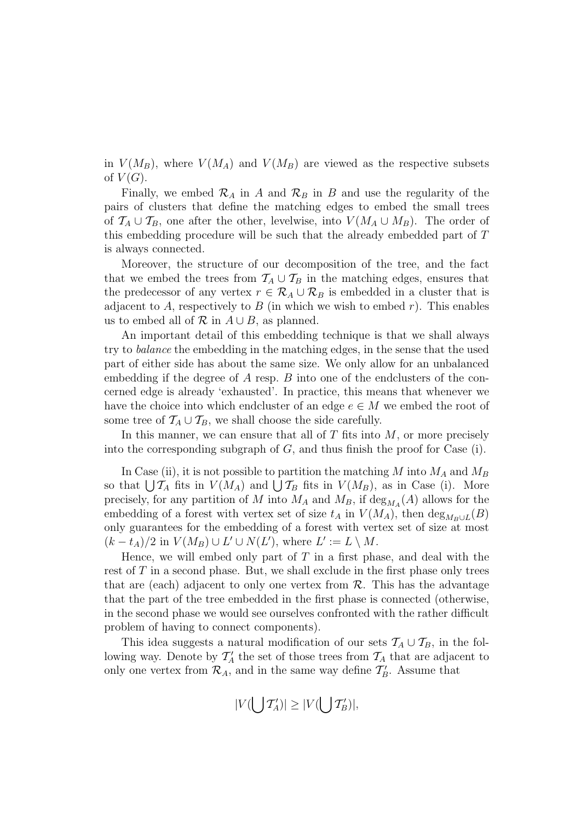in  $V(M_B)$ , where  $V(M_A)$  and  $V(M_B)$  are viewed as the respective subsets of  $V(G)$ .

Finally, we embed  $\mathcal{R}_A$  in A and  $\mathcal{R}_B$  in B and use the regularity of the pairs of clusters that define the matching edges to embed the small trees of  $\mathcal{T}_A \cup \mathcal{T}_B$ , one after the other, levelwise, into  $V(M_A \cup M_B)$ . The order of this embedding procedure will be such that the already embedded part of T is always connected.

Moreover, the structure of our decomposition of the tree, and the fact that we embed the trees from  $\mathcal{T}_A \cup \mathcal{T}_B$  in the matching edges, ensures that the predecessor of any vertex  $r \in \mathcal{R}_A \cup \mathcal{R}_B$  is embedded in a cluster that is adjacent to A, respectively to B (in which we wish to embed r). This enables us to embed all of  $\mathcal R$  in  $A \cup B$ , as planned.

An important detail of this embedding technique is that we shall always try to balance the embedding in the matching edges, in the sense that the used part of either side has about the same size. We only allow for an unbalanced embedding if the degree of  $A$  resp.  $B$  into one of the endclusters of the concerned edge is already 'exhausted'. In practice, this means that whenever we have the choice into which endcluster of an edge  $e \in M$  we embed the root of some tree of  $\mathcal{T}_A \cup \mathcal{T}_B$ , we shall choose the side carefully.

In this manner, we can ensure that all of  $T$  fits into  $M$ , or more precisely into the corresponding subgraph of  $G$ , and thus finish the proof for Case (i).

In Case (ii), it is not possible to partition the matching M into  $M_A$  and  $M_B$ so that  $\bigcup \mathcal{T}_A$  fits in  $V(M_A)$  and  $\bigcup \mathcal{T}_B$  fits in  $V(M_B)$ , as in Case (i). More precisely, for any partition of M into  $M_A$  and  $M_B$ , if  $\deg_{M_A}(A)$  allows for the embedding of a forest with vertex set of size  $t_A$  in  $V(M_A)$ , then  $\deg_{M_B \cup L}(B)$ only guarantees for the embedding of a forest with vertex set of size at most  $(k-t_A)/2$  in  $V(M_B) \cup L' \cup N(L')$ , where  $L' := L \setminus M$ .

Hence, we will embed only part of  $T$  in a first phase, and deal with the rest of  $T$  in a second phase. But, we shall exclude in the first phase only trees that are (each) adjacent to only one vertex from  $\mathcal{R}$ . This has the advantage that the part of the tree embedded in the first phase is connected (otherwise, in the second phase we would see ourselves confronted with the rather difficult problem of having to connect components).

This idea suggests a natural modification of our sets  $\mathcal{T}_A \cup \mathcal{T}_B$ , in the following way. Denote by  $\mathcal{T}_A'$  the set of those trees from  $\mathcal{T}_A$  that are adjacent to only one vertex from  $\mathcal{R}_A$ , and in the same way define  $\mathcal{T}'_B$ . Assume that

$$
|V(\bigcup \mathcal{T}_A')| \geq |V(\bigcup \mathcal{T}_B')|,
$$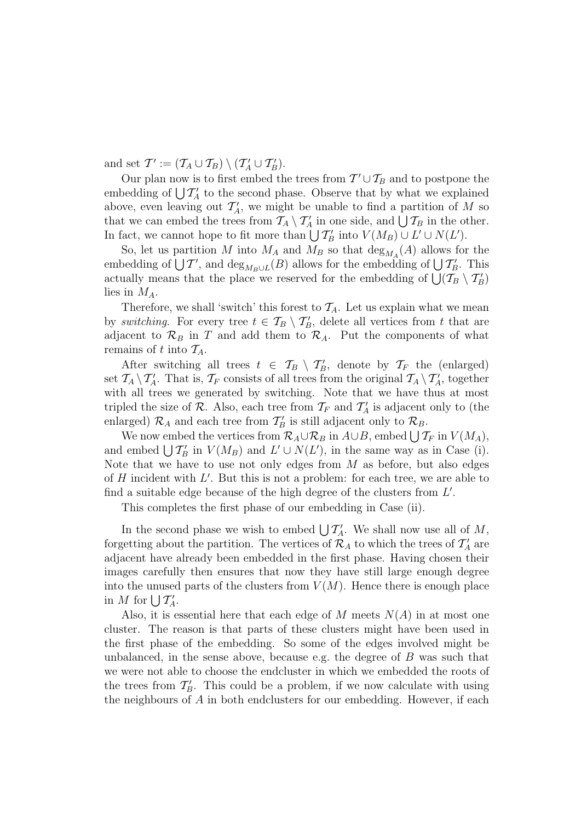and set  $\mathcal{T}' := (\mathcal{T}_A \cup \mathcal{T}_B) \setminus (\mathcal{T}_A' \cup \mathcal{T}_B').$ 

Our plan now is to first embed the trees from  $T' \cup T_B$  and to postpone the embedding of  $\bigcup T_A'$  to the second phase. Observe that by what we explained above, even leaving out  $\mathcal{T}_A'$ , we might be unable to find a partition of M so that we can embed the trees from  $\mathcal{T}_A \setminus \mathcal{T}'_A$  in one side, and  $\bigcup \mathcal{T}_B$  in the other. In fact, we cannot hope to fit more than  $\bigcup T'_B$  into  $V(M_B) \cup L' \cup N(L')$ .

So, let us partition M into  $M_A$  and  $M_B$  so that  $\deg_{M_A}(A)$  allows for the embedding of  $\bigcup \mathcal{T}'$ , and  $\text{deg}_{M_B \cup L}(B)$  allows for the embedding of  $\bigcup \mathcal{T}'_B$ . This actually means that the place we reserved for the embedding of  $\bigcup_{B} (\mathcal{T}_{B} \setminus \mathcal{T}'_{B})$ lies in  $M_A$ .

Therefore, we shall 'switch' this forest to  $\mathcal{T}_A$ . Let us explain what we mean by switching. For every tree  $t \in \mathcal{T}_B \setminus \mathcal{T}'_B$ , delete all vertices from t that are adjacent to  $\mathcal{R}_B$  in T and add them to  $\mathcal{R}_A$ . Put the components of what remains of t into  $\mathcal{T}_A$ .

After switching all trees  $t \in \mathcal{T}_B \setminus \mathcal{T}'_B$ , denote by  $\mathcal{T}_F$  the (enlarged) set  $\mathcal{T}_A \setminus \mathcal{T}'_A$ . That is,  $\mathcal{T}_F$  consists of all trees from the original  $\mathcal{T}_A \setminus \mathcal{T}'_A$ , together with all trees we generated by switching. Note that we have thus at most tripled the size of  $\mathcal{R}$ . Also, each tree from  $\mathcal{T}_F$  and  $\mathcal{T}'_A$  is adjacent only to (the enlarged)  $\mathcal{R}_A$  and each tree from  $\mathcal{T}'_B$  is still adjacent only to  $\mathcal{R}_B$ .

We now embed the vertices from  $\mathcal{R}_A \cup \mathcal{R}_B$  in  $A \cup B$ , embed  $\bigcup \mathcal{T}_F$  in  $V(M_A)$ , and embed  $\bigcup T_B'$  in  $V(M_B)$  and  $L' \cup N(L')$ , in the same way as in Case (i). Note that we have to use not only edges from  $M$  as before, but also edges of  $H$  incident with  $L'$ . But this is not a problem: for each tree, we are able to find a suitable edge because of the high degree of the clusters from  $L'$ .

This completes the first phase of our embedding in Case (ii).

In the second phase we wish to embed  $\bigcup T_A'$ . We shall now use all of M, forgetting about the partition. The vertices of  $\mathcal{R}_A$  to which the trees of  $\mathcal{T}'_A$  are adjacent have already been embedded in the first phase. Having chosen their images carefully then ensures that now they have still large enough degree into the unused parts of the clusters from  $V(M)$ . Hence there is enough place in M for  $\bigcup T'_A$ .

Also, it is essential here that each edge of M meets  $N(A)$  in at most one cluster. The reason is that parts of these clusters might have been used in the first phase of the embedding. So some of the edges involved might be unbalanced, in the sense above, because e.g. the degree of  $B$  was such that we were not able to choose the endcluster in which we embedded the roots of the trees from  $\mathcal{T}'_B$ . This could be a problem, if we now calculate with using the neighbours of  $A$  in both endclusters for our embedding. However, if each